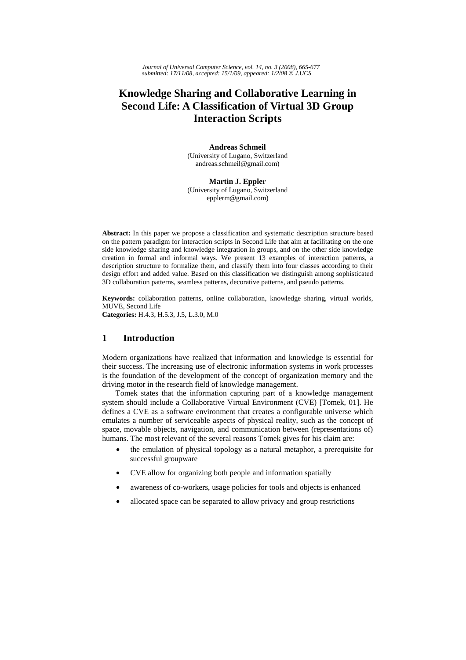*Journal of Universal Computer Science, vol. 14, no. 3 (2008), 665-677 submitted: 17/11/08, accepted: 15/1/09, appeared: 1/2/08* © *J.UCS*

# **Knowledge Sharing and Collaborative Learning in Second Life: A Classification of Virtual 3D Group Interaction Scripts**

**Andreas Schmeil**  (University of Lugano, Switzerland andreas.schmeil@gmail.com)

**Martin J. Eppler** (University of Lugano, Switzerland epplerm@gmail.com)

**Abstract:** In this paper we propose a classification and systematic description structure based on the pattern paradigm for interaction scripts in Second Life that aim at facilitating on the one side knowledge sharing and knowledge integration in groups, and on the other side knowledge creation in formal and informal ways. We present 13 examples of interaction patterns, a description structure to formalize them, and classify them into four classes according to their design effort and added value. Based on this classification we distinguish among sophisticated 3D collaboration patterns, seamless patterns, decorative patterns, and pseudo patterns.

**Keywords:** collaboration patterns, online collaboration, knowledge sharing, virtual worlds, MUVE, Second Life **Categories:** H.4.3, H.5.3, J.5, L.3.0, M.0

## **1 Introduction**

Modern organizations have realized that information and knowledge is essential for their success. The increasing use of electronic information systems in work processes is the foundation of the development of the concept of organization memory and the driving motor in the research field of knowledge management.

Tomek states that the information capturing part of a knowledge management system should include a Collaborative Virtual Environment (CVE) [Tomek, 01]. He defines a CVE as a software environment that creates a configurable universe which emulates a number of serviceable aspects of physical reality, such as the concept of space, movable objects, navigation, and communication between (representations of) humans. The most relevant of the several reasons Tomek gives for his claim are:

- the emulation of physical topology as a natural metaphor, a prerequisite for successful groupware
- CVE allow for organizing both people and information spatially
- awareness of co-workers, usage policies for tools and objects is enhanced
- allocated space can be separated to allow privacy and group restrictions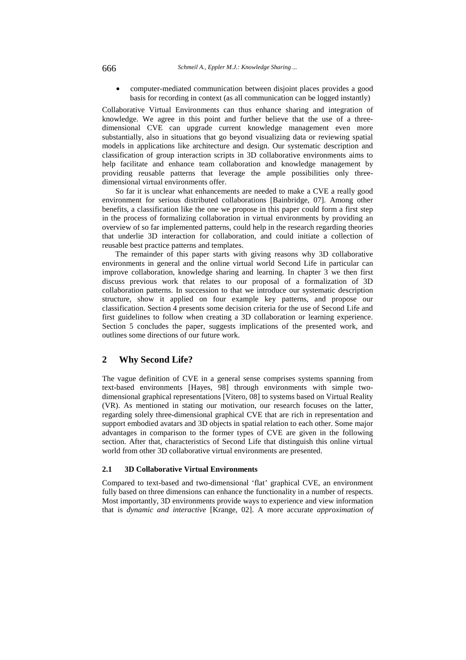• computer-mediated communication between disjoint places provides a good basis for recording in context (as all communication can be logged instantly)

Collaborative Virtual Environments can thus enhance sharing and integration of knowledge. We agree in this point and further believe that the use of a threedimensional CVE can upgrade current knowledge management even more substantially, also in situations that go beyond visualizing data or reviewing spatial models in applications like architecture and design. Our systematic description and classification of group interaction scripts in 3D collaborative environments aims to help facilitate and enhance team collaboration and knowledge management by providing reusable patterns that leverage the ample possibilities only threedimensional virtual environments offer.

So far it is unclear what enhancements are needed to make a CVE a really good environment for serious distributed collaborations [Bainbridge, 07]. Among other benefits, a classification like the one we propose in this paper could form a first step in the process of formalizing collaboration in virtual environments by providing an overview of so far implemented patterns, could help in the research regarding theories that underlie 3D interaction for collaboration, and could initiate a collection of reusable best practice patterns and templates.

The remainder of this paper starts with giving reasons why 3D collaborative environments in general and the online virtual world Second Life in particular can improve collaboration, knowledge sharing and learning. In chapter 3 we then first discuss previous work that relates to our proposal of a formalization of 3D collaboration patterns. In succession to that we introduce our systematic description structure, show it applied on four example key patterns, and propose our classification. Section 4 presents some decision criteria for the use of Second Life and first guidelines to follow when creating a 3D collaboration or learning experience. Section 5 concludes the paper, suggests implications of the presented work, and outlines some directions of our future work.

## **2 Why Second Life?**

The vague definition of CVE in a general sense comprises systems spanning from text-based environments [Hayes, 98] through environments with simple twodimensional graphical representations [Vitero, 08] to systems based on Virtual Reality (VR). As mentioned in stating our motivation, our research focuses on the latter, regarding solely three-dimensional graphical CVE that are rich in representation and support embodied avatars and 3D objects in spatial relation to each other. Some major advantages in comparison to the former types of CVE are given in the following section. After that, characteristics of Second Life that distinguish this online virtual world from other 3D collaborative virtual environments are presented.

#### **2.1 3D Collaborative Virtual Environments**

Compared to text-based and two-dimensional 'flat' graphical CVE, an environment fully based on three dimensions can enhance the functionality in a number of respects. Most importantly, 3D environments provide ways to experience and view information that is *dynamic and interactive* [Krange, 02]. A more accurate *approximation of*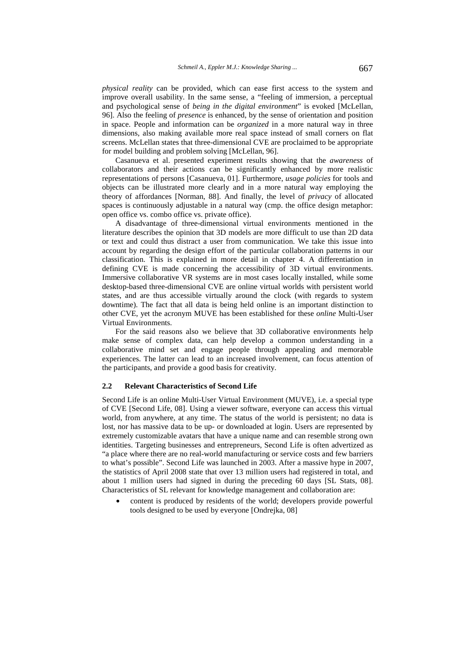*physical reality* can be provided, which can ease first access to the system and improve overall usability. In the same sense, a "feeling of immersion, a perceptual and psychological sense of *being in the digital environment*" is evoked [McLellan, 96]. Also the feeling of *presence* is enhanced, by the sense of orientation and position in space. People and information can be *organized* in a more natural way in three dimensions, also making available more real space instead of small corners on flat screens. McLellan states that three-dimensional CVE are proclaimed to be appropriate for model building and problem solving [McLellan, 96].

Casanueva et al. presented experiment results showing that the *awareness* of collaborators and their actions can be significantly enhanced by more realistic representations of persons [Casanueva, 01]. Furthermore, *usage policies* for tools and objects can be illustrated more clearly and in a more natural way employing the theory of affordances [Norman, 88]. And finally, the level of *privacy* of allocated spaces is continuously adjustable in a natural way (cmp. the office design metaphor: open office vs. combo office vs. private office).

A disadvantage of three-dimensional virtual environments mentioned in the literature describes the opinion that 3D models are more difficult to use than 2D data or text and could thus distract a user from communication. We take this issue into account by regarding the design effort of the particular collaboration patterns in our classification. This is explained in more detail in chapter 4. A differentiation in defining CVE is made concerning the accessibility of 3D virtual environments. Immersive collaborative VR systems are in most cases locally installed, while some desktop-based three-dimensional CVE are online virtual worlds with persistent world states, and are thus accessible virtually around the clock (with regards to system downtime). The fact that all data is being held online is an important distinction to other CVE, yet the acronym MUVE has been established for these *online* Multi-User Virtual Environments.

For the said reasons also we believe that 3D collaborative environments help make sense of complex data, can help develop a common understanding in a collaborative mind set and engage people through appealing and memorable experiences. The latter can lead to an increased involvement, can focus attention of the participants, and provide a good basis for creativity.

#### **2.2 Relevant Characteristics of Second Life**

Second Life is an online Multi-User Virtual Environment (MUVE), i.e. a special type of CVE [Second Life, 08]. Using a viewer software, everyone can access this virtual world, from anywhere, at any time. The status of the world is persistent; no data is lost, nor has massive data to be up- or downloaded at login. Users are represented by extremely customizable avatars that have a unique name and can resemble strong own identities. Targeting businesses and entrepreneurs, Second Life is often advertized as "a place where there are no real-world manufacturing or service costs and few barriers to what's possible". Second Life was launched in 2003. After a massive hype in 2007, the statistics of April 2008 state that over 13 million users had registered in total, and about 1 million users had signed in during the preceding 60 days [SL Stats, 08]. Characteristics of SL relevant for knowledge management and collaboration are:

• content is produced by residents of the world; developers provide powerful tools designed to be used by everyone [Ondrejka, 08]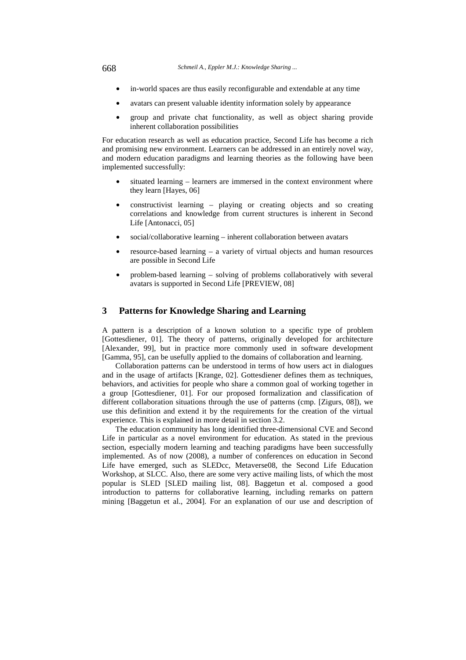- in-world spaces are thus easily reconfigurable and extendable at any time
- avatars can present valuable identity information solely by appearance
- group and private chat functionality, as well as object sharing provide inherent collaboration possibilities

For education research as well as education practice, Second Life has become a rich and promising new environment. Learners can be addressed in an entirely novel way, and modern education paradigms and learning theories as the following have been implemented successfully:

- situated learning learners are immersed in the context environment where they learn [Hayes, 06]
- constructivist learning playing or creating objects and so creating correlations and knowledge from current structures is inherent in Second Life [Antonacci, 05]
- social/collaborative learning inherent collaboration between avatars
- resource-based learning a variety of virtual objects and human resources are possible in Second Life
- problem-based learning solving of problems collaboratively with several avatars is supported in Second Life [PREVIEW, 08]

## **3 Patterns for Knowledge Sharing and Learning**

A pattern is a description of a known solution to a specific type of problem [Gottesdiener, 01]. The theory of patterns, originally developed for architecture [Alexander, 99], but in practice more commonly used in software development [Gamma, 95], can be usefully applied to the domains of collaboration and learning.

Collaboration patterns can be understood in terms of how users act in dialogues and in the usage of artifacts [Krange, 02]. Gottesdiener defines them as techniques, behaviors, and activities for people who share a common goal of working together in a group [Gottesdiener, 01]. For our proposed formalization and classification of different collaboration situations through the use of patterns (cmp. [Zigurs, 08]), we use this definition and extend it by the requirements for the creation of the virtual experience. This is explained in more detail in section 3.2.

The education community has long identified three-dimensional CVE and Second Life in particular as a novel environment for education. As stated in the previous section, especially modern learning and teaching paradigms have been successfully implemented. As of now (2008), a number of conferences on education in Second Life have emerged, such as SLEDcc, Metaverse08, the Second Life Education Workshop, at SLCC. Also, there are some very active mailing lists, of which the most popular is SLED [SLED mailing list, 08]. Baggetun et al. composed a good introduction to patterns for collaborative learning, including remarks on pattern mining [Baggetun et al., 2004]. For an explanation of our use and description of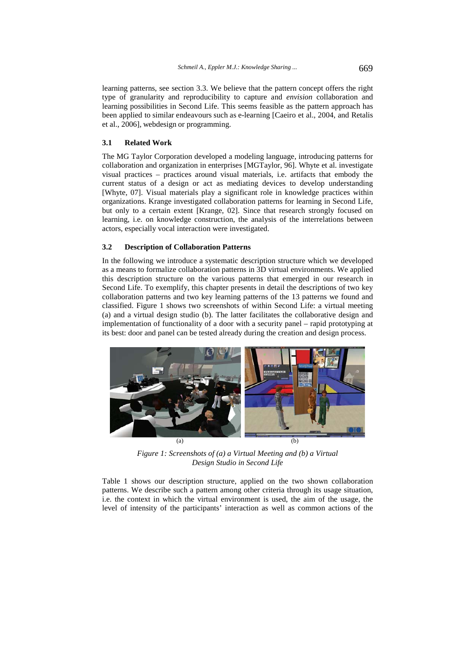learning patterns, see section 3.3. We believe that the pattern concept offers the right type of granularity and reproducibility to capture and *envision* collaboration and learning possibilities in Second Life. This seems feasible as the pattern approach has been applied to similar endeavours such as e-learning [Caeiro et al., 2004, and Retalis et al., 2006], webdesign or programming.

#### **3.1 Related Work**

The MG Taylor Corporation developed a modeling language, introducing patterns for collaboration and organization in enterprises [MGTaylor, 96]. Whyte et al. investigate visual practices – practices around visual materials, i.e. artifacts that embody the current status of a design or act as mediating devices to develop understanding [Whyte, 07]. Visual materials play a significant role in knowledge practices within organizations. Krange investigated collaboration patterns for learning in Second Life, but only to a certain extent [Krange, 02]. Since that research strongly focused on learning, i.e. on knowledge construction, the analysis of the interrelations between actors, especially vocal interaction were investigated.

#### **3.2 Description of Collaboration Patterns**

In the following we introduce a systematic description structure which we developed as a means to formalize collaboration patterns in 3D virtual environments. We applied this description structure on the various patterns that emerged in our research in Second Life. To exemplify, this chapter presents in detail the descriptions of two key collaboration patterns and two key learning patterns of the 13 patterns we found and classified. Figure 1 shows two screenshots of within Second Life: a virtual meeting (a) and a virtual design studio (b). The latter facilitates the collaborative design and implementation of functionality of a door with a security panel – rapid prototyping at its best: door and panel can be tested already during the creation and design process.



*Figure 1: Screenshots of (a) a Virtual Meeting and (b) a Virtual Design Studio in Second Life* 

Table 1 shows our description structure, applied on the two shown collaboration patterns. We describe such a pattern among other criteria through its usage situation, i.e. the context in which the virtual environment is used, the aim of the usage, the level of intensity of the participants' interaction as well as common actions of the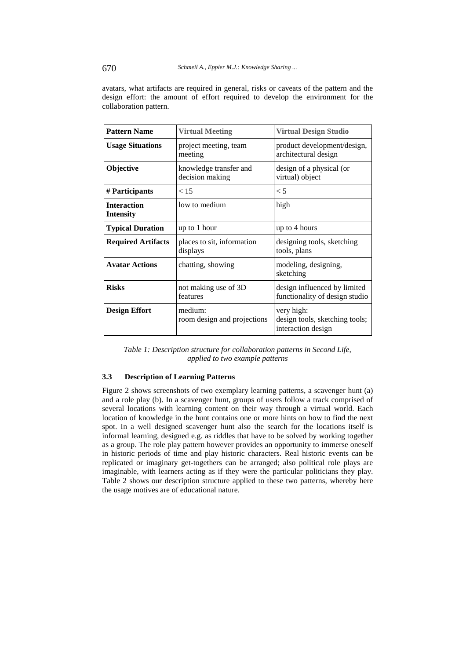avatars, what artifacts are required in general, risks or caveats of the pattern and the design effort: the amount of effort required to develop the environment for the collaboration pattern.

| <b>Pattern Name</b>                    | <b>Virtual Meeting</b>                    | <b>Virtual Design Studio</b>                                       |
|----------------------------------------|-------------------------------------------|--------------------------------------------------------------------|
| <b>Usage Situations</b>                | project meeting, team<br>meeting          | product development/design,<br>architectural design                |
| <b>Objective</b>                       | knowledge transfer and<br>decision making | design of a physical (or<br>virtual) object                        |
| # Participants                         | < 15                                      | $\leq 5$                                                           |
| <b>Interaction</b><br><b>Intensity</b> | low to medium                             | high                                                               |
| <b>Typical Duration</b>                | up to 1 hour                              | up to 4 hours                                                      |
| <b>Required Artifacts</b>              | places to sit, information<br>displays    | designing tools, sketching<br>tools, plans                         |
| <b>Avatar Actions</b>                  | chatting, showing                         | modeling, designing,<br>sketching                                  |
| <b>Risks</b>                           | not making use of 3D<br>features          | design influenced by limited<br>functionality of design studio     |
| <b>Design Effort</b>                   | medium:<br>room design and projections    | very high:<br>design tools, sketching tools;<br>interaction design |

*Table 1: Description structure for collaboration patterns in Second Life, applied to two example patterns* 

## **3.3 Description of Learning Patterns**

Figure 2 shows screenshots of two exemplary learning patterns, a scavenger hunt (a) and a role play (b). In a scavenger hunt, groups of users follow a track comprised of several locations with learning content on their way through a virtual world. Each location of knowledge in the hunt contains one or more hints on how to find the next spot. In a well designed scavenger hunt also the search for the locations itself is informal learning, designed e.g. as riddles that have to be solved by working together as a group. The role play pattern however provides an opportunity to immerse oneself in historic periods of time and play historic characters. Real historic events can be replicated or imaginary get-togethers can be arranged; also political role plays are imaginable, with learners acting as if they were the particular politicians they play. Table 2 shows our description structure applied to these two patterns, whereby here the usage motives are of educational nature.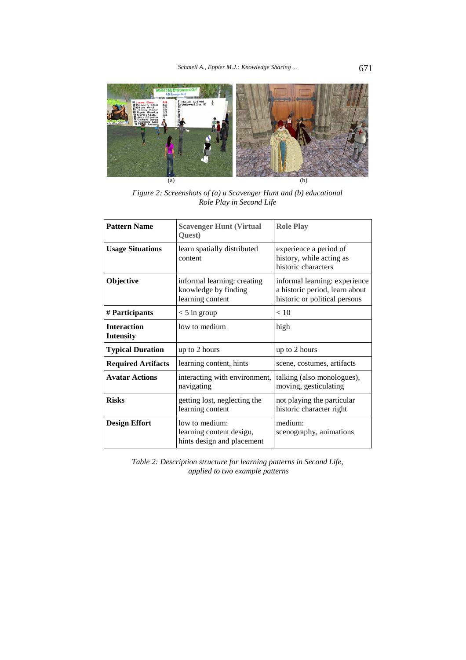

*Figure 2: Screenshots of (a) a Scavenger Hunt and (b) educational Role Play in Second Life* 

| <b>Pattern Name</b>                    | <b>Scavenger Hunt (Virtual</b><br>Quest)                                 | <b>Role Play</b>                                                                                 |
|----------------------------------------|--------------------------------------------------------------------------|--------------------------------------------------------------------------------------------------|
| <b>Usage Situations</b>                | learn spatially distributed<br>content                                   | experience a period of<br>history, while acting as<br>historic characters                        |
| <b>Objective</b>                       | informal learning: creating<br>knowledge by finding<br>learning content  | informal learning: experience<br>a historic period, learn about<br>historic or political persons |
| # Participants                         | $<$ 5 in group                                                           | < 10                                                                                             |
| <b>Interaction</b><br><b>Intensity</b> | low to medium                                                            | high                                                                                             |
| <b>Typical Duration</b>                | up to 2 hours                                                            | up to 2 hours                                                                                    |
| <b>Required Artifacts</b>              | learning content, hints                                                  | scene, costumes, artifacts                                                                       |
| <b>Avatar Actions</b>                  | interacting with environment,<br>navigating                              | talking (also monologues),<br>moving, gesticulating                                              |
| <b>Risks</b>                           | getting lost, neglecting the<br>learning content                         | not playing the particular<br>historic character right                                           |
| <b>Design Effort</b>                   | low to medium:<br>learning content design,<br>hints design and placement | medium:<br>scenography, animations                                                               |

*Table 2: Description structure for learning patterns in Second Life, applied to two example patterns*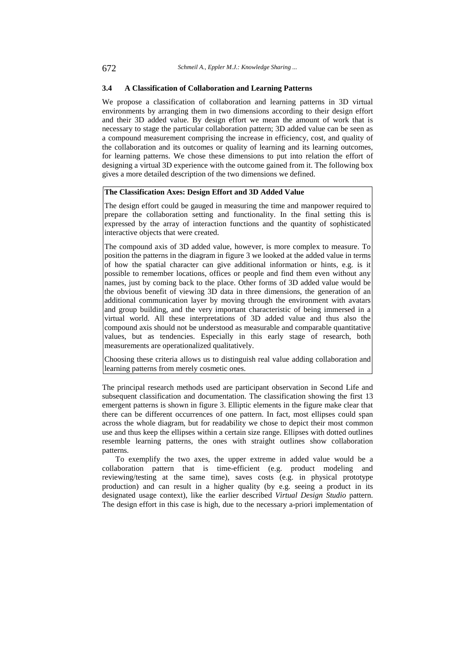#### **3.4 A Classification of Collaboration and Learning Patterns**

We propose a classification of collaboration and learning patterns in 3D virtual environments by arranging them in two dimensions according to their design effort and their 3D added value. By design effort we mean the amount of work that is necessary to stage the particular collaboration pattern; 3D added value can be seen as a compound measurement comprising the increase in efficiency, cost, and quality of the collaboration and its outcomes or quality of learning and its learning outcomes, for learning patterns. We chose these dimensions to put into relation the effort of designing a virtual 3D experience with the outcome gained from it. The following box gives a more detailed description of the two dimensions we defined.

## **The Classification Axes: Design Effort and 3D Added Value**

The design effort could be gauged in measuring the time and manpower required to prepare the collaboration setting and functionality. In the final setting this is expressed by the array of interaction functions and the quantity of sophisticated interactive objects that were created.

The compound axis of 3D added value, however, is more complex to measure. To position the patterns in the diagram in figure 3 we looked at the added value in terms of how the spatial character can give additional information or hints, e.g. is it possible to remember locations, offices or people and find them even without any names, just by coming back to the place. Other forms of 3D added value would be the obvious benefit of viewing 3D data in three dimensions, the generation of an additional communication layer by moving through the environment with avatars and group building, and the very important characteristic of being immersed in a virtual world. All these interpretations of 3D added value and thus also the compound axis should not be understood as measurable and comparable quantitative values, but as tendencies. Especially in this early stage of research, both measurements are operationalized qualitatively.

Choosing these criteria allows us to distinguish real value adding collaboration and learning patterns from merely cosmetic ones.

The principal research methods used are participant observation in Second Life and subsequent classification and documentation. The classification showing the first 13 emergent patterns is shown in figure 3. Elliptic elements in the figure make clear that there can be different occurrences of one pattern. In fact, most ellipses could span across the whole diagram, but for readability we chose to depict their most common use and thus keep the ellipses within a certain size range. Ellipses with dotted outlines resemble learning patterns, the ones with straight outlines show collaboration patterns.

To exemplify the two axes, the upper extreme in added value would be a collaboration pattern that is time-efficient (e.g. product modeling and reviewing/testing at the same time), saves costs (e.g. in physical prototype production) and can result in a higher quality (by e.g. seeing a product in its designated usage context), like the earlier described *Virtual Design Studio* pattern. The design effort in this case is high, due to the necessary a-priori implementation of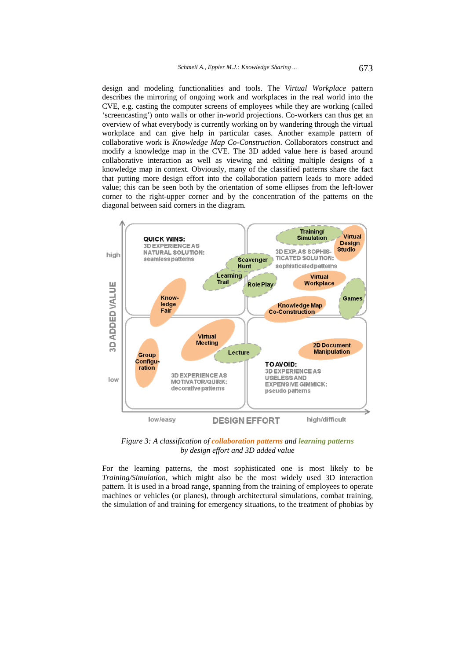design and modeling functionalities and tools. The *Virtual Workplace* pattern describes the mirroring of ongoing work and workplaces in the real world into the CVE, e.g. casting the computer screens of employees while they are working (called 'screencasting') onto walls or other in-world projections. Co-workers can thus get an overview of what everybody is currently working on by wandering through the virtual workplace and can give help in particular cases. Another example pattern of collaborative work is *Knowledge Map Co-Construction*. Collaborators construct and modify a knowledge map in the CVE. The 3D added value here is based around collaborative interaction as well as viewing and editing multiple designs of a knowledge map in context. Obviously, many of the classified patterns share the fact that putting more design effort into the collaboration pattern leads to more added value; this can be seen both by the orientation of some ellipses from the left-lower corner to the right-upper corner and by the concentration of the patterns on the diagonal between said corners in the diagram.



*Figure 3: A classification of collaboration patterns and learning patterns by design effort and 3D added value* 

For the learning patterns, the most sophisticated one is most likely to be *Training/Simulation*, which might also be the most widely used 3D interaction pattern. It is used in a broad range, spanning from the training of employees to operate machines or vehicles (or planes), through architectural simulations, combat training, the simulation of and training for emergency situations, to the treatment of phobias by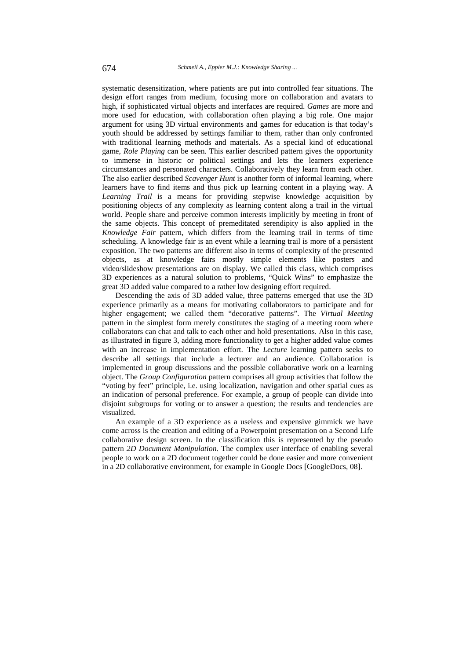systematic desensitization, where patients are put into controlled fear situations. The design effort ranges from medium, focusing more on collaboration and avatars to high, if sophisticated virtual objects and interfaces are required. *Games* are more and more used for education, with collaboration often playing a big role. One major argument for using 3D virtual environments and games for education is that today's youth should be addressed by settings familiar to them, rather than only confronted with traditional learning methods and materials. As a special kind of educational game, *Role Playing* can be seen. This earlier described pattern gives the opportunity to immerse in historic or political settings and lets the learners experience circumstances and personated characters. Collaboratively they learn from each other. The also earlier described *Scavenger Hunt* is another form of informal learning, where learners have to find items and thus pick up learning content in a playing way. A *Learning Trail* is a means for providing stepwise knowledge acquisition by positioning objects of any complexity as learning content along a trail in the virtual world. People share and perceive common interests implicitly by meeting in front of the same objects. This concept of premeditated serendipity is also applied in the *Knowledge Fair* pattern, which differs from the learning trail in terms of time scheduling. A knowledge fair is an event while a learning trail is more of a persistent exposition. The two patterns are different also in terms of complexity of the presented objects, as at knowledge fairs mostly simple elements like posters and video/slideshow presentations are on display. We called this class, which comprises 3D experiences as a natural solution to problems, "Quick Wins" to emphasize the great 3D added value compared to a rather low designing effort required.

Descending the axis of 3D added value, three patterns emerged that use the 3D experience primarily as a means for motivating collaborators to participate and for higher engagement; we called them "decorative patterns". The *Virtual Meeting* pattern in the simplest form merely constitutes the staging of a meeting room where collaborators can chat and talk to each other and hold presentations. Also in this case, as illustrated in figure 3, adding more functionality to get a higher added value comes with an increase in implementation effort. The *Lecture* learning pattern seeks to describe all settings that include a lecturer and an audience. Collaboration is implemented in group discussions and the possible collaborative work on a learning object. The *Group Configuration* pattern comprises all group activities that follow the "voting by feet" principle, i.e. using localization, navigation and other spatial cues as an indication of personal preference. For example, a group of people can divide into disjoint subgroups for voting or to answer a question; the results and tendencies are visualized.

An example of a 3D experience as a useless and expensive gimmick we have come across is the creation and editing of a Powerpoint presentation on a Second Life collaborative design screen. In the classification this is represented by the pseudo pattern *2D Document Manipulation.* The complex user interface of enabling several people to work on a 2D document together could be done easier and more convenient in a 2D collaborative environment, for example in Google Docs [GoogleDocs, 08].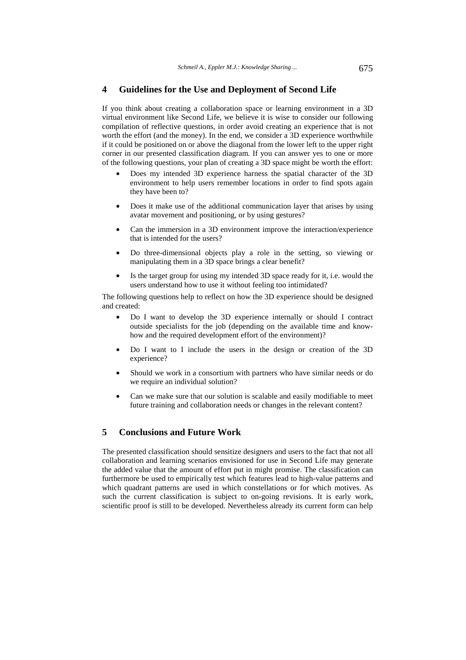## **4 Guidelines for the Use and Deployment of Second Life**

If you think about creating a collaboration space or learning environment in a 3D virtual environment like Second Life, we believe it is wise to consider our following compilation of reflective questions, in order avoid creating an experience that is not worth the effort (and the money). In the end, we consider a 3D experience worthwhile if it could be positioned on or above the diagonal from the lower left to the upper right corner in our presented classification diagram. If you can answer yes to one or more of the following questions, your plan of creating a 3D space might be worth the effort:

- Does my intended 3D experience harness the spatial character of the 3D environment to help users remember locations in order to find spots again they have been to?
- Does it make use of the additional communication layer that arises by using avatar movement and positioning, or by using gestures?
- Can the immersion in a 3D environment improve the interaction/experience that is intended for the users?
- Do three-dimensional objects play a role in the setting, so viewing or manipulating them in a 3D space brings a clear benefit?
- Is the target group for using my intended 3D space ready for it, i.e. would the users understand how to use it without feeling too intimidated?

The following questions help to reflect on how the 3D experience should be designed and created:

- Do I want to develop the 3D experience internally or should I contract outside specialists for the job (depending on the available time and knowhow and the required development effort of the environment)?
- Do I want to I include the users in the design or creation of the 3D experience?
- Should we work in a consortium with partners who have similar needs or do we require an individual solution?
- Can we make sure that our solution is scalable and easily modifiable to meet future training and collaboration needs or changes in the relevant content?

## **5 Conclusions and Future Work**

The presented classification should sensitize designers and users to the fact that not all collaboration and learning scenarios envisioned for use in Second Life may generate the added value that the amount of effort put in might promise. The classification can furthermore be used to empirically test which features lead to high-value patterns and which quadrant patterns are used in which constellations or for which motives. As such the current classification is subject to on-going revisions. It is early work, scientific proof is still to be developed. Nevertheless already its current form can help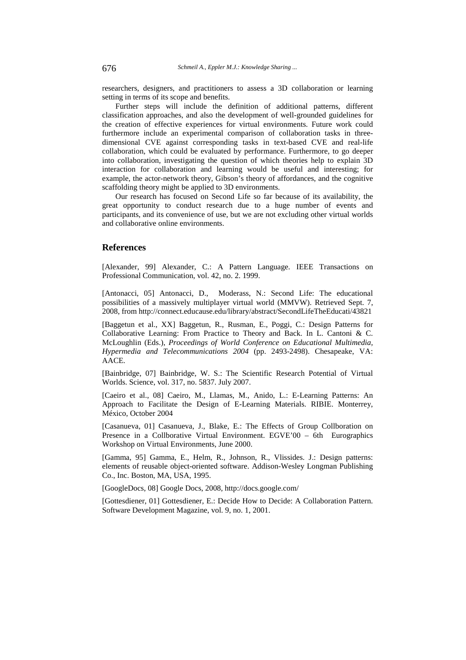researchers, designers, and practitioners to assess a 3D collaboration or learning setting in terms of its scope and benefits.

Further steps will include the definition of additional patterns, different classification approaches, and also the development of well-grounded guidelines for the creation of effective experiences for virtual environments. Future work could furthermore include an experimental comparison of collaboration tasks in threedimensional CVE against corresponding tasks in text-based CVE and real-life collaboration, which could be evaluated by performance. Furthermore, to go deeper into collaboration, investigating the question of which theories help to explain 3D interaction for collaboration and learning would be useful and interesting; for example, the actor-network theory, Gibson's theory of affordances, and the cognitive scaffolding theory might be applied to 3D environments.

Our research has focused on Second Life so far because of its availability, the great opportunity to conduct research due to a huge number of events and participants, and its convenience of use, but we are not excluding other virtual worlds and collaborative online environments.

### **References**

[Alexander, 99] Alexander, C.: A Pattern Language. IEEE Transactions on Professional Communication, vol. 42, no. 2. 1999.

[Antonacci, 05] Antonacci, D., Moderass, N.: Second Life: The educational possibilities of a massively multiplayer virtual world (MMVW). Retrieved Sept. 7, 2008, from http://connect.educause.edu/library/abstract/SecondLifeTheEducati/43821

[Baggetun et al., XX] Baggetun, R., Rusman, E., Poggi, C.: Design Patterns for Collaborative Learning: From Practice to Theory and Back. In L. Cantoni & C. McLoughlin (Eds.), *Proceedings of World Conference on Educational Multimedia, Hypermedia and Telecommunications 2004* (pp. 2493-2498). Chesapeake, VA: AACE.

[Bainbridge, 07] Bainbridge, W. S.: The Scientific Research Potential of Virtual Worlds. Science, vol. 317, no. 5837. July 2007.

[Caeiro et al., 08] Caeiro, M., Llamas, M., Anido, L.: E-Learning Patterns: An Approach to Facilitate the Design of E-Learning Materials. RIBIE. Monterrey, México, October 2004

[Casanueva, 01] Casanueva, J., Blake, E.: The Effects of Group Collboration on Presence in a Collborative Virtual Environment. EGVE'00 – 6th Eurographics Workshop on Virtual Environments, June 2000.

[Gamma, 95] Gamma, E., Helm, R., Johnson, R., Vlissides. J.: Design patterns: elements of reusable object-oriented software. Addison-Wesley Longman Publishing Co., Inc. Boston, MA, USA, 1995.

[GoogleDocs, 08] Google Docs, 2008, http://docs.google.com/

[Gottesdiener, 01] Gottesdiener, E.: Decide How to Decide: A Collaboration Pattern. Software Development Magazine, vol. 9, no. 1, 2001.